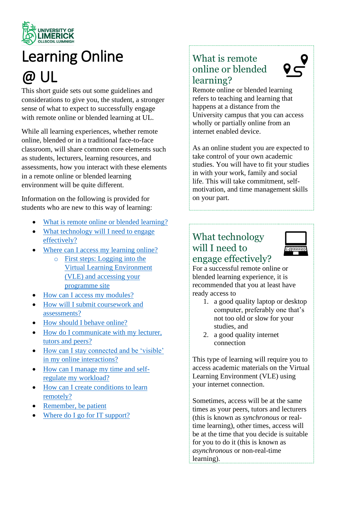

# Learning Online

## @ UL

This short guide sets out some guidelines and considerations to give you, the student, a stronger sense of what to expect to successfully engage with remote online or blended learning at UL.

While all learning experiences, whether remote online, blended or in a traditional face-to-face classroom, will share common core elements such as students, lecturers, learning resources, and assessments, how you interact with these elements in a remote online or blended learning environment will be quite different.

Information on the following is provided for students who are new to this way of learning:

- [What is remote online or blended learning?](#page-0-0)
- What technology will I need to engage [effectively?](#page-2-0)
- Where can [I access my learning online?](#page-1-0)
	- o [First steps: Logging into the](#page-1-1)  [Virtual Learning Environment](#page-1-1)  [\(VLE\) and accessing your](#page-1-1)  [programme site](#page-1-1)
- [How can I access my modules?](#page-2-1)
- [How will I submit coursework and](#page-2-2)  [assessments?](#page-2-2)
- [How should I behave online?](#page-2-3)
- How do I communicate with my lecturer, [tutors and peers?](#page-3-0)
- [How can I stay connected and be 'visible'](#page-4-0)  [in my online interactions?](#page-4-0)
- [How can I manage my time and self](#page-4-1)[regulate my workload?](#page-4-1)
- [How can I create conditions to learn](#page-5-0)  [remotely?](#page-5-0)
- [Remember, be patient](#page-5-1)
- [Where do I go for IT support?](#page-5-2)

## <span id="page-0-0"></span>What is remote online or blended learning?



Remote online or blended learning refers to teaching and learning that happens at a distance from the University campus that you can access wholly or partially online from an internet enabled device.

As an online student you are expected to take control of your own academic studies. You will have to fit your studies in with your work, family and social life. This will take commitment, selfmotivation, and time management skills on your part.

## What technology will I need to engage effectively?



For a successful remote online or blended learning experience, it is recommended that you at least have ready access to

- 1. a good quality laptop or desktop computer, preferably one that's not too old or slow for your studies, and
- 2. a good quality internet connection

This type of learning will require you to access academic materials on the Virtual Learning Environment (VLE) using your internet connection.

Sometimes, access will be at the same times as your peers, tutors and lecturers (this is known as *synchronous* or realtime learning), other times, access will be at the time that you decide is suitable for you to do it (this is known as *asynchronous* or non-real-time learning).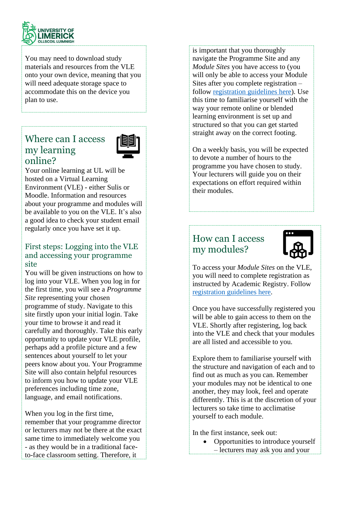

You may need to download study materials and resources from the VLE onto your own device, meaning that you will need adequate storage space to accommodate this on the device you plan to use.

## <span id="page-1-0"></span>Where can I access my learning online?



Your online learning at UL will be hosted on a Virtual Learning Environment (VLE) - either Sulis or Moodle. Information and resources about your programme and modules will be available to you on the VLE. It's also a good idea to check your student email regularly once you have set it up.

#### <span id="page-1-1"></span>First steps: Logging into the VLE and accessing your programme site

You will be given instructions on how to log into your VLE. When you log in for the first time, you will see a *Programme Site* representing your chosen programme of study. Navigate to this site firstly upon your initial login. Take your time to browse it and read it carefully and thoroughly. Take this early opportunity to update your VLE profile, perhaps add a profile picture and a few sentences about yourself to let your peers know about you. Your Programme Site will also contain helpful resources to inform you how to update your VLE preferences including time zone, language, and email notifications.

When you log in the first time, remember that your programme director or lecturers may not be there at the exact same time to immediately welcome you - as they would be in a traditional faceto-face classroom setting. Therefore, it

is important that you thoroughly navigate the Programme Site and any *Module Sites* you have access to (you will only be able to access your Module Sites after you complete registration – follow [registration guidelines here\)](https://www.ul.ie/academic-registry/current-students/registration). Use this time to familiarise yourself with the way your remote online or blended learning environment is set up and structured so that you can get started straight away on the correct footing.

On a weekly basis, you will be expected to devote a number of hours to the programme you have chosen to study. Your lecturers will guide you on their expectations on effort required within their modules.

## How can I access my modules?



To access your *Module Sites* on the VLE, you will need to complete registration as instructed by Academic Registry. Follow [registration guidelines here.](https://www.ul.ie/academic-registry/current-students/registration)

Once you have successfully registered you will be able to gain access to them on the VLE. Shortly after registering, log back into the VLE and check that your modules are all listed and accessible to you.

Explore them to familiarise yourself with the structure and navigation of each and to find out as much as you can. Remember your modules may not be identical to one another, they may look, feel and operate differently. This is at the discretion of your lecturers so take time to acclimatise yourself to each module.

In the first instance, seek out:

• Opportunities to introduce yourself – lecturers may ask you and your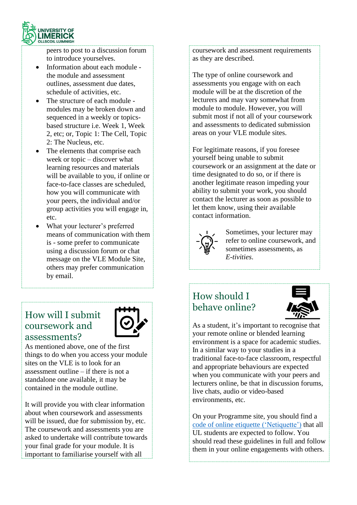

peers to post to a discussion forum to introduce yourselves.

- Information about each module the module and assessment outlines, assessment due dates, schedule of activities, etc.
- The structure of each module modules may be broken down and sequenced in a weekly or topicsbased structure i.e. Week 1, Week 2, etc; or, Topic 1: The Cell, Topic 2: The Nucleus, etc.
- The elements that comprise each week or topic – discover what learning resources and materials will be available to you, if online or face-to-face classes are scheduled, how you will communicate with your peers, the individual and/or group activities you will engage in, etc.
- What your lecturer's preferred means of communication with them is - some prefer to communicate using a discussion forum or chat message on the VLE Module Site, others may prefer communication by email.

## <span id="page-2-2"></span><span id="page-2-0"></span>How will I submit coursework and assessments?



As mentioned above, one of the first things to do when you access your module sites on the VLE is to look for an assessment outline – if there is not a standalone one available, it may be contained in the module outline.

It will provide you with clear information about when coursework and assessments will be issued, due for submission by, etc. The coursework and assessments you are asked to undertake will contribute towards your final grade for your module. It is important to familiarise yourself with all

coursework and assessment requirements as they are described.

The type of online coursework and assessments you engage with on each module will be at the discretion of the lecturers and may vary somewhat from module to module. However, you will submit most if not all of your coursework and assessments to dedicated submission areas on your VLE module sites.

For legitimate reasons, if you foresee yourself being unable to submit coursework or an assignment at the date or time designated to do so, or if there is another legitimate reason impeding your ability to submit your work, you should contact the lecturer as soon as possible to let them know, using their available contact information.



Sometimes, your lecturer may refer to online coursework, and sometimes assessments, as *E-tivities*.

## <span id="page-2-3"></span><span id="page-2-1"></span>How should I behave online?



As a student, it's important to recognise that your remote online or blended learning environment is a space for academic studies. In a similar way to your studies in a traditional face-to-face classroom, respectful and appropriate behaviours are expected when you communicate with your peers and lecturers online, be that in discussion forums, live chats, audio or video-based environments, etc.

On your Programme site, you should find a [code of online etiquette \('Netiquette'\)](https://sulis.ul.ie/access/content/public/Netiquette.pdf) that all UL students are expected to follow. You should read these guidelines in full and follow them in your online engagements with others.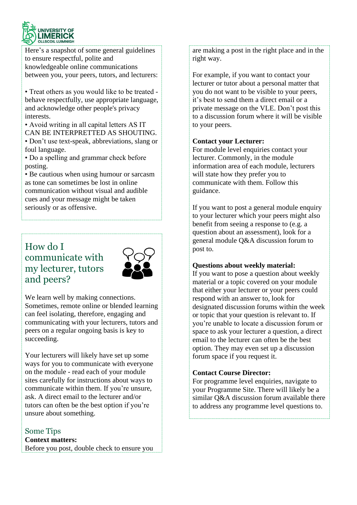

Here's a snapshot of some general guidelines to ensure respectful, polite and knowledgeable online communications between you, your peers, tutors, and lecturers:

• Treat others as you would like to be treated behave respectfully, use appropriate language, and acknowledge other people's privacy interests.

• Avoid writing in all capital letters AS IT CAN BE INTERPRETTED AS SHOUTING. • Don't use text-speak, abbreviations, slang or foul language.

• Do a spelling and grammar check before posting.

• Be cautious when using humour or sarcasm as tone can sometimes be lost in online communication without visual and audible cues and your message might be taken seriously or as offensive.

## <span id="page-3-0"></span>How do I communicate with my lecturer, tutors and peers?



We learn well by making connections. Sometimes, remote online or blended learning can feel isolating, therefore, engaging and communicating with your lecturers, tutors and peers on a regular ongoing basis is key to succeeding.

Your lecturers will likely have set up some ways for you to communicate with everyone on the module - read each of your module sites carefully for instructions about ways to communicate within them. If you're unsure, ask. A direct email to the lecturer and/or tutors can often be the best option if you're unsure about something.

#### Some Tips **Context matters:** Before you post, double check to ensure you

are making a post in the right place and in the right way.

For example, if you want to contact your lecturer or tutor about a personal matter that you do not want to be visible to your peers, it's best to send them a direct email or a private message on the VLE. Don't post this to a discussion forum where it will be visible to your peers.

#### **Contact your Lecturer:**

For module level enquiries contact your lecturer. Commonly, in the module information area of each module, lecturers will state how they prefer you to communicate with them. Follow this guidance.

If you want to post a general module enquiry to your lecturer which your peers might also benefit from seeing a response to (e.g. a question about an assessment), look for a general module Q&A discussion forum to post to.

#### **Questions about weekly material:**

If you want to pose a question about weekly material or a topic covered on your module that either your lecturer or your peers could respond with an answer to, look for designated discussion forums within the week or topic that your question is relevant to. If you're unable to locate a discussion forum or space to ask your lecturer a question, a direct email to the lecturer can often be the best option. They may even set up a discussion forum space if you request it.

#### **Contact Course Director:**

For programme level enquiries, navigate to your Programme Site. There will likely be a similar Q&A discussion forum available there to address any programme level questions to.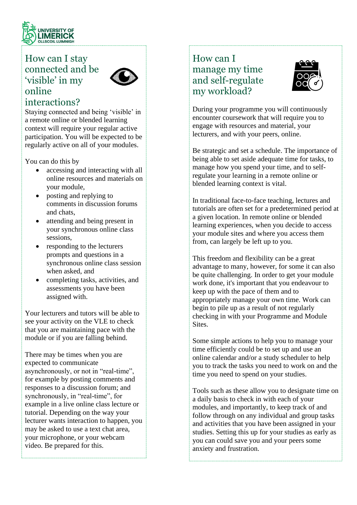

## <span id="page-4-0"></span>How can I stay connected and be 'visible' in my online



### interactions?

Staying connected and being 'visible' in a remote online or blended learning context will require your regular active participation. You will be expected to be regularly active on all of your modules.

You can do this by

- accessing and interacting with all online resources and materials on your module,
- posting and replying to comments in discussion forums and chats,
- attending and being present in your synchronous online class sessions,
- responding to the lecturers prompts and questions in a synchronous online class session when asked, and
- completing tasks, activities, and assessments you have been assigned with.

Your lecturers and tutors will be able to see your activity on the VLE to check that you are maintaining pace with the module or if you are falling behind.

There may be times when you are expected to communicate asynchronously, or not in "real-time", for example by posting comments and responses to a discussion forum; and synchronously, in "real-time", for example in a live online class lecture or tutorial. Depending on the way your lecturer wants interaction to happen, you may be asked to use a text chat area, your microphone, or your webcam video. Be prepared for this.

## <span id="page-4-1"></span>How can I manage my time and self-regulate my workload?



During your programme you will continuously encounter coursework that will require you to engage with resources and material, your lecturers, and with your peers, online.

Be strategic and set a schedule. The importance of being able to set aside adequate time for tasks, to manage how you spend your time, and to selfregulate your learning in a remote online or blended learning context is vital.

In traditional face-to-face teaching, lectures and tutorials are often set for a predetermined period at a given location. In remote online or blended learning experiences, when you decide to access your module sites and where you access them from, can largely be left up to you.

This freedom and flexibility can be a great advantage to many, however, for some it can also be quite challenging. In order to get your module work done, it's important that you endeavour to keep up with the pace of them and to appropriately manage your own time. Work can begin to pile up as a result of not regularly checking in with your Programme and Module Sites.

Some simple actions to help you to manage your time efficiently could be to set up and use an online calendar and/or a study scheduler to help you to track the tasks you need to work on and the time you need to spend on your studies.

Tools such as these allow you to designate time on a daily basis to check in with each of your modules, and importantly, to keep track of and follow through on any individual and group tasks and activities that you have been assigned in your studies. Setting this up for your studies as early as you can could save you and your peers some anxiety and frustration.